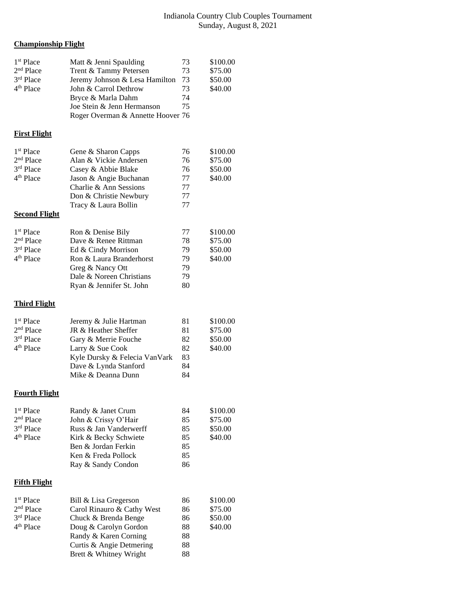## Indianola Country Club Couples Tournament Sunday, August 8, 2021

## **Championship Flight**

| 1 <sup>st</sup> Place<br>2 <sup>nd</sup> Place<br>3rd Place<br>4 <sup>th</sup> Place | Matt & Jenni Spaulding<br>Trent & Tammy Petersen<br>Jeremy Johnson & Lesa Hamilton<br>John & Carrol Dethrow<br>Bryce & Marla Dahm<br>Joe Stein & Jenn Hermanson<br>Roger Overman & Annette Hoover 76 | 73<br>73<br>73<br>73<br>74<br>75       | \$100.00<br>\$75.00<br>\$50.00<br>\$40.00 |
|--------------------------------------------------------------------------------------|------------------------------------------------------------------------------------------------------------------------------------------------------------------------------------------------------|----------------------------------------|-------------------------------------------|
| <b>First Flight</b>                                                                  |                                                                                                                                                                                                      |                                        |                                           |
| 1 <sup>st</sup> Place<br>$2nd$ Place<br>3rd Place<br>4 <sup>th</sup> Place           | Gene & Sharon Capps<br>Alan & Vickie Andersen<br>Casey & Abbie Blake<br>Jason & Angie Buchanan<br>Charlie & Ann Sessions<br>Don & Christie Newbury<br>Tracy & Laura Bollin                           | 76<br>76<br>76<br>77<br>77<br>77<br>77 | \$100.00<br>\$75.00<br>\$50.00<br>\$40.00 |
| <b>Second Flight</b>                                                                 |                                                                                                                                                                                                      |                                        |                                           |
| 1 <sup>st</sup> Place<br>2 <sup>nd</sup> Place<br>3rd Place<br>4 <sup>th</sup> Place | Ron & Denise Bily<br>Dave & Renee Rittman<br>Ed & Cindy Morrison<br>Ron & Laura Branderhorst<br>Greg & Nancy Ott<br>Dale & Noreen Christians<br>Ryan & Jennifer St. John                             | 77<br>78<br>79<br>79<br>79<br>79<br>80 | \$100.00<br>\$75.00<br>\$50.00<br>\$40.00 |
| <b>Third Flight</b>                                                                  |                                                                                                                                                                                                      |                                        |                                           |
| 1 <sup>st</sup> Place<br>2 <sup>nd</sup> Place<br>3rd Place<br>4 <sup>th</sup> Place | Jeremy & Julie Hartman<br>JR & Heather Sheffer<br>Gary & Merrie Fouche<br>Larry & Sue Cook<br>Kyle Dursky & Felecia VanVark<br>Dave & Lynda Stanford<br>Mike & Deanna Dunn                           | 81<br>81<br>82<br>82<br>83<br>84<br>84 | \$100.00<br>\$75.00<br>\$50.00<br>\$40.00 |
| <b>Fourth Flight</b>                                                                 |                                                                                                                                                                                                      |                                        |                                           |
| 1 <sup>st</sup> Place<br>2 <sup>nd</sup> Place<br>3rd Place<br>4 <sup>th</sup> Place | Randy & Janet Crum<br>John & Crissy O'Hair<br>Russ & Jan Vanderwerff<br>Kirk & Becky Schwiete<br>Ben & Jordan Ferkin<br>Ken & Freda Pollock<br>Ray & Sandy Condon                                    | 84<br>85<br>85<br>85<br>85<br>85<br>86 | \$100.00<br>\$75.00<br>\$50.00<br>\$40.00 |
| <b>Fifth Flight</b>                                                                  |                                                                                                                                                                                                      |                                        |                                           |
| 1 <sup>st</sup> Place<br>2 <sup>nd</sup> Place<br>3rd Place<br>4 <sup>th</sup> Place | Bill & Lisa Gregerson<br>Carol Rinauro & Cathy West<br>Chuck & Brenda Benge<br>Doug & Carolyn Gordon<br>Randy & Karen Corning<br>Curtis & Angie Detmering<br>Brett & Whitney Wright                  | 86<br>86<br>86<br>88<br>88<br>88<br>88 | \$100.00<br>\$75.00<br>\$50.00<br>\$40.00 |